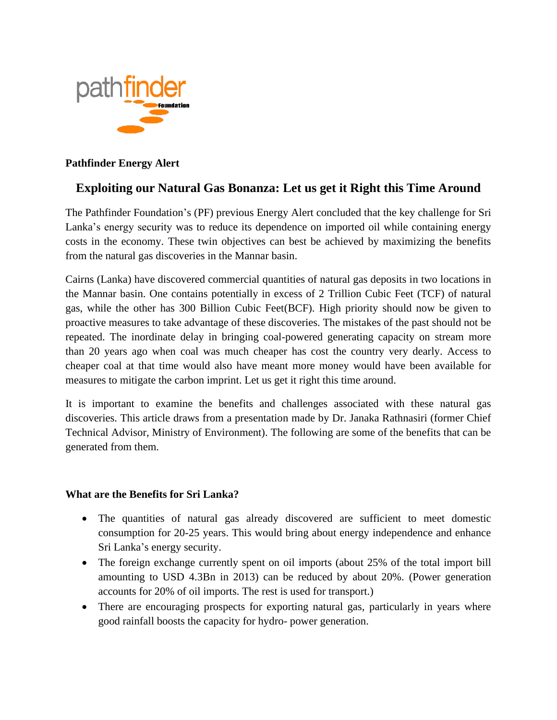

## **Pathfinder Energy Alert**

# **Exploiting our Natural Gas Bonanza: Let us get it Right this Time Around**

The Pathfinder Foundation's (PF) previous Energy Alert concluded that the key challenge for Sri Lanka's energy security was to reduce its dependence on imported oil while containing energy costs in the economy. These twin objectives can best be achieved by maximizing the benefits from the natural gas discoveries in the Mannar basin.

Cairns (Lanka) have discovered commercial quantities of natural gas deposits in two locations in the Mannar basin. One contains potentially in excess of 2 Trillion Cubic Feet (TCF) of natural gas, while the other has 300 Billion Cubic Feet(BCF). High priority should now be given to proactive measures to take advantage of these discoveries. The mistakes of the past should not be repeated. The inordinate delay in bringing coal-powered generating capacity on stream more than 20 years ago when coal was much cheaper has cost the country very dearly. Access to cheaper coal at that time would also have meant more money would have been available for measures to mitigate the carbon imprint. Let us get it right this time around.

It is important to examine the benefits and challenges associated with these natural gas discoveries. This article draws from a presentation made by Dr. Janaka Rathnasiri (former Chief Technical Advisor, Ministry of Environment). The following are some of the benefits that can be generated from them.

#### **What are the Benefits for Sri Lanka?**

- The quantities of natural gas already discovered are sufficient to meet domestic consumption for 20-25 years. This would bring about energy independence and enhance Sri Lanka's energy security.
- The foreign exchange currently spent on oil imports (about 25% of the total import bill amounting to USD 4.3Bn in 2013) can be reduced by about 20%. (Power generation accounts for 20% of oil imports. The rest is used for transport.)
- There are encouraging prospects for exporting natural gas, particularly in years where good rainfall boosts the capacity for hydro- power generation.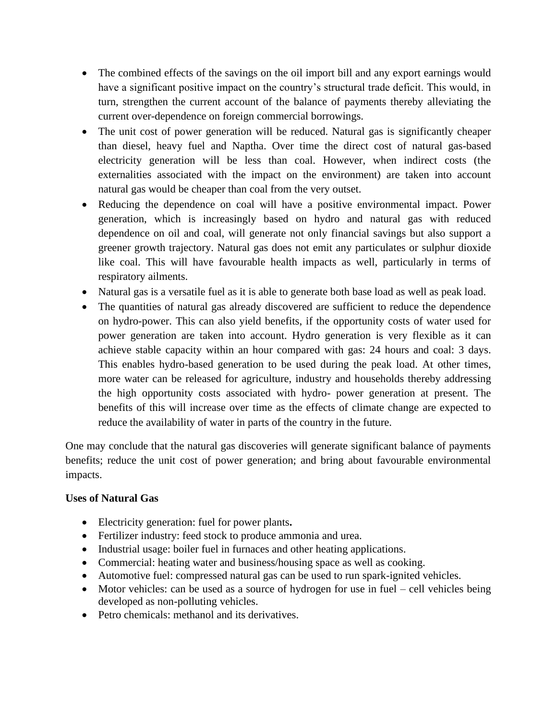- The combined effects of the savings on the oil import bill and any export earnings would have a significant positive impact on the country's structural trade deficit. This would, in turn, strengthen the current account of the balance of payments thereby alleviating the current over-dependence on foreign commercial borrowings.
- The unit cost of power generation will be reduced. Natural gas is significantly cheaper than diesel, heavy fuel and Naptha. Over time the direct cost of natural gas-based electricity generation will be less than coal. However, when indirect costs (the externalities associated with the impact on the environment) are taken into account natural gas would be cheaper than coal from the very outset.
- Reducing the dependence on coal will have a positive environmental impact. Power generation, which is increasingly based on hydro and natural gas with reduced dependence on oil and coal, will generate not only financial savings but also support a greener growth trajectory. Natural gas does not emit any particulates or sulphur dioxide like coal. This will have favourable health impacts as well, particularly in terms of respiratory ailments.
- Natural gas is a versatile fuel as it is able to generate both base load as well as peak load.
- The quantities of natural gas already discovered are sufficient to reduce the dependence on hydro-power. This can also yield benefits, if the opportunity costs of water used for power generation are taken into account. Hydro generation is very flexible as it can achieve stable capacity within an hour compared with gas: 24 hours and coal: 3 days. This enables hydro-based generation to be used during the peak load. At other times, more water can be released for agriculture, industry and households thereby addressing the high opportunity costs associated with hydro- power generation at present. The benefits of this will increase over time as the effects of climate change are expected to reduce the availability of water in parts of the country in the future.

One may conclude that the natural gas discoveries will generate significant balance of payments benefits; reduce the unit cost of power generation; and bring about favourable environmental impacts.

## **Uses of Natural Gas**

- Electricity generation: fuel for power plants**.**
- Fertilizer industry: feed stock to produce ammonia and urea.
- Industrial usage: boiler fuel in furnaces and other heating applications.
- Commercial: heating water and business/housing space as well as cooking.
- Automotive fuel: compressed natural gas can be used to run spark-ignited vehicles.
- Motor vehicles: can be used as a source of hydrogen for use in fuel cell vehicles being developed as non-polluting vehicles.
- Petro chemicals: methanol and its derivatives.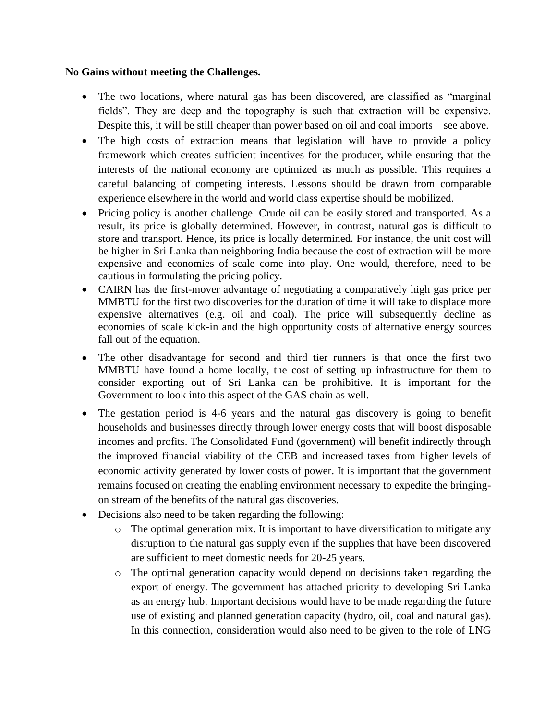#### **No Gains without meeting the Challenges.**

- The two locations, where natural gas has been discovered, are classified as "marginal" fields". They are deep and the topography is such that extraction will be expensive. Despite this, it will be still cheaper than power based on oil and coal imports – see above.
- The high costs of extraction means that legislation will have to provide a policy framework which creates sufficient incentives for the producer, while ensuring that the interests of the national economy are optimized as much as possible. This requires a careful balancing of competing interests. Lessons should be drawn from comparable experience elsewhere in the world and world class expertise should be mobilized.
- Pricing policy is another challenge. Crude oil can be easily stored and transported. As a result, its price is globally determined. However, in contrast, natural gas is difficult to store and transport. Hence, its price is locally determined. For instance, the unit cost will be higher in Sri Lanka than neighboring India because the cost of extraction will be more expensive and economies of scale come into play. One would, therefore, need to be cautious in formulating the pricing policy.
- CAIRN has the first-mover advantage of negotiating a comparatively high gas price per MMBTU for the first two discoveries for the duration of time it will take to displace more expensive alternatives (e.g. oil and coal). The price will subsequently decline as economies of scale kick-in and the high opportunity costs of alternative energy sources fall out of the equation.
- The other disadvantage for second and third tier runners is that once the first two MMBTU have found a home locally, the cost of setting up infrastructure for them to consider exporting out of Sri Lanka can be prohibitive. It is important for the Government to look into this aspect of the GAS chain as well.
- The gestation period is 4-6 years and the natural gas discovery is going to benefit households and businesses directly through lower energy costs that will boost disposable incomes and profits. The Consolidated Fund (government) will benefit indirectly through the improved financial viability of the CEB and increased taxes from higher levels of economic activity generated by lower costs of power. It is important that the government remains focused on creating the enabling environment necessary to expedite the bringingon stream of the benefits of the natural gas discoveries.
- Decisions also need to be taken regarding the following:
	- o The optimal generation mix. It is important to have diversification to mitigate any disruption to the natural gas supply even if the supplies that have been discovered are sufficient to meet domestic needs for 20-25 years.
	- o The optimal generation capacity would depend on decisions taken regarding the export of energy. The government has attached priority to developing Sri Lanka as an energy hub. Important decisions would have to be made regarding the future use of existing and planned generation capacity (hydro, oil, coal and natural gas). In this connection, consideration would also need to be given to the role of LNG